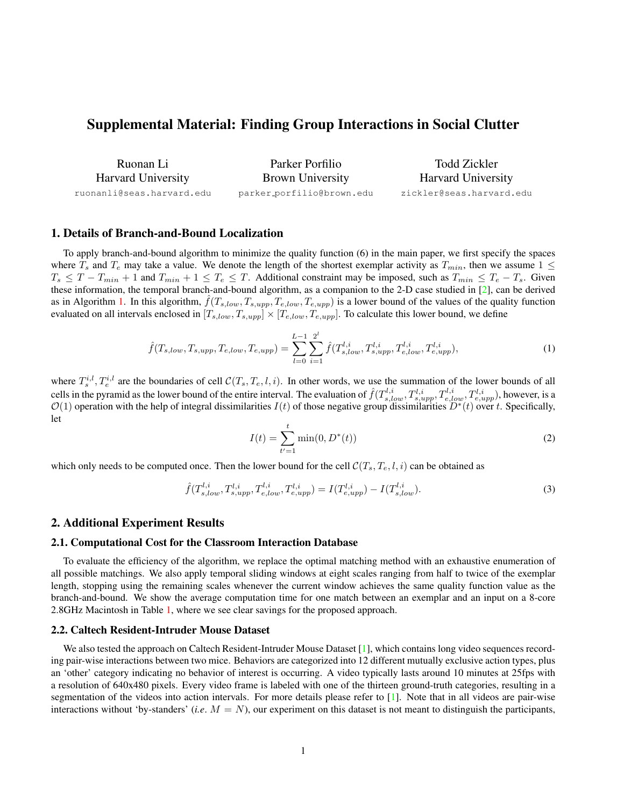# Supplemental Material: Finding Group Interactions in Social Clutter

| Ruonan Li                 | Parker Porfilio           | Todd Zickler<br><b>Harvard University</b> |  |
|---------------------------|---------------------------|-------------------------------------------|--|
| <b>Harvard University</b> | <b>Brown University</b>   |                                           |  |
| ruonanli@seas.harvard.edu | parker_porfilio@brown.edu | zickler@seas.harvard.edu                  |  |

### 1. Details of Branch-and-Bound Localization

To apply branch-and-bound algorithm to minimize the quality function (6) in the main paper, we first specify the spaces where  $T_s$  and  $T_e$  may take a value. We denote the length of the shortest exemplar activity as  $T_{min}$ , then we assume  $1 \leq$  $T_s \le T - T_{min} + 1$  and  $T_{min} + 1 \le T_e \le T$ . Additional constraint may be imposed, such as  $T_{min} \le T_e - T_s$ . Given these information, the temporal branch-and-bound algorithm, as a companion to the 2-D case studied in [\[2\]](#page-2-0), can be derived as in Algorithm [1.](#page-1-0) In this algorithm,  $f(T_{s,low}, T_{s,upp}, T_{e,low}, T_{e,upp})$  is a lower bound of the values of the quality function evaluated on all intervals enclosed in  $[T_{s,low}, T_{s,upp}] \times [T_{e,low}, T_{e,upp}]$ . To calculate this lower bound, we define

$$
\hat{f}(T_{s,low}, T_{s,upp}, T_{e,low}, T_{e,upp}) = \sum_{l=0}^{L-1} \sum_{i=1}^{2^l} \hat{f}(T_{s,low}^{l,i}, T_{s,upp}^{l,i}, T_{e,low}^{l,i}, T_{e,upp}^{l,i}),
$$
\n(1)

where  $T_s^{i,l}, T_e^{i,l}$  are the boundaries of cell  $\mathcal{C}(T_s, T_e, l, i)$ . In other words, we use the summation of the lower bounds of all cells in the pyramid as the lower bound of the entire interval. The evaluation of  $\hat{f}(T_{s,low}^{l,i}, T_{s,upp}^{l,i}, T_{e,low}^{l,i}, T_{e,upp}^{l,i})$ , however, is a  $\mathcal{O}(1)$  operation with the help of integral dissimilarities  $I(t)$  of those negative group dissimilarities  $D^*(t)$  over t. Specifically, let

$$
I(t) = \sum_{t'=1}^{t} \min(0, D^*(t))
$$
 (2)

which only needs to be computed once. Then the lower bound for the cell  $\mathcal{C}(T_s, T_e, l, i)$  can be obtained as

$$
\hat{f}(T_{s,low}^{l,i}, T_{s,upp}^{l,i}, T_{e,low}^{l,i}, T_{e,upp}^{l,i}) = I(T_{e,upp}^{l,i}) - I(T_{s,low}^{l,i}).
$$
\n(3)

#### 2. Additional Experiment Results

#### 2.1. Computational Cost for the Classroom Interaction Database

To evaluate the efficiency of the algorithm, we replace the optimal matching method with an exhaustive enumeration of all possible matchings. We also apply temporal sliding windows at eight scales ranging from half to twice of the exemplar length, stopping using the remaining scales whenever the current window achieves the same quality function value as the branch-and-bound. We show the average computation time for one match between an exemplar and an input on a 8-core 2.8GHz Macintosh in Table [1,](#page-1-1) where we see clear savings for the proposed approach.

#### 2.2. Caltech Resident-Intruder Mouse Dataset

We also tested the approach on Caltech Resident-Intruder Mouse Dataset [\[1\]](#page-2-1), which contains long video sequences recording pair-wise interactions between two mice. Behaviors are categorized into 12 different mutually exclusive action types, plus an 'other' category indicating no behavior of interest is occurring. A video typically lasts around 10 minutes at 25fps with a resolution of 640x480 pixels. Every video frame is labeled with one of the thirteen ground-truth categories, resulting in a segmentation of the videos into action intervals. For more details please refer to [\[1\]](#page-2-1). Note that in all videos are pair-wise interactions without 'by-standers' (*i.e.*  $M = N$ ), our experiment on this dataset is not meant to distinguish the participants,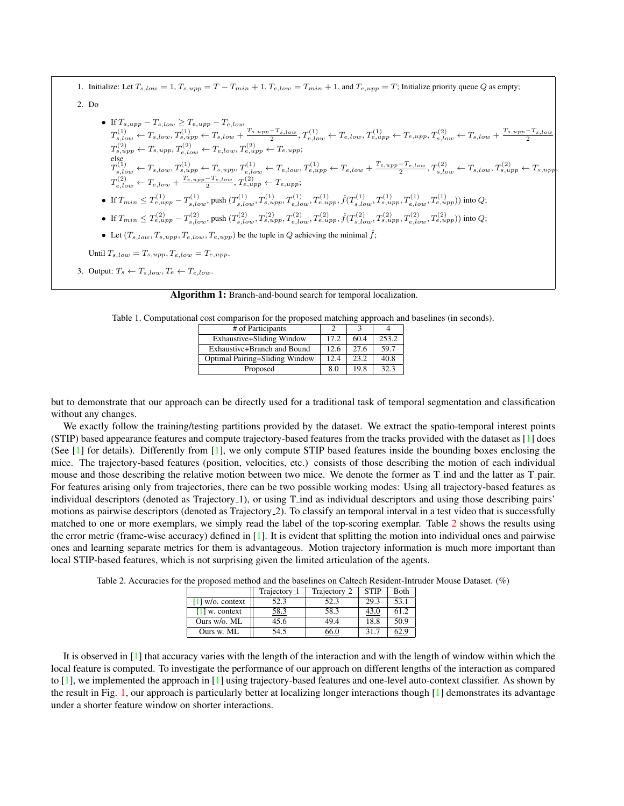1. Initialize: Let  $T_{s,low} = 1, T_{s,upp} = T - T_{min} + 1, T_{e,low} = T_{min} + 1$ , and  $T_{e,upp} = T$ ; Initialize priority queue Q as empty;

2. Do

\n- \n If 
$$
T_{s, upp} - T_{s, low} \geq T_{e, upp} - T_{e, low}
$$
\n $T_{s, low}^{(1)} \leftarrow T_{s, low}, T_{s, upp}^{(1)} \leftarrow T_{s, low} + T_{s, top} - T_{s, low}$ \n $T_{s, low}^{(2)} \leftarrow T_{s, low}, T_{s, upp}^{(2)} \leftarrow T_{s, low} + T_{s, upp} - T_{e, low}$ \n $T_{s, upp}^{(2)} \leftarrow T_{s, upp}, T_{e, low}^{(2)} \leftarrow T_{e, low}, T_{e, low}^{(2)} \leftarrow T_{e, low}, T_{e, upp}^{(2)} \leftarrow T_{e, low}, T_{e, low}^{(2)} \leftarrow T_{s, low}, T_{s, low}^{(1)} \leftarrow T_{s, low}, T_{s, upp}^{(1)} \leftarrow T_{s, low}, T_{s, upp}^{(1)} \leftarrow T_{s, low}, T_{s, upp}^{(1)} \leftarrow T_{e, low}, T_{e, low}^{(1)} \leftarrow T_{e, low} + T_{e, low}, T_{e, low}^{(2)} \leftarrow T_{s, low}, T_{s, upp}^{(2)} \leftarrow T_{s, low}$ \n $T_{e, low}^{(2)} \leftarrow T_{e, low} + \frac{T_{e, upp} - T_{e, low}}{2}, T_{e, low}^{(2)} \leftarrow T_{e, upp}, T_{e, low}$ \n
\n- \n If  $T_{min} \leq T_{e, upp}^{(2)} - T_{s, low}$ ,  $push(T_{s, low}, T_{s, upp}, T_{e, low}, T_{e, low}, T_{e, low}, T_{e, low}^{(2)}, T_{s, upp}, f(T_{s, low}, T_{s, upp}, T_{e, low}, T_{e, upp})$  into  $Q$ ;\n
\n- \n If  $T_{min} \leq T_{e, upp}^{(2)} - T_{s, low}$ ,  $push(T_{s, low}, T_{s, upp}, T_{e, low}, T_{e, low}, T_{e, low}, T_{s, upp}, T_{e, low}, T_{s, upp}, T_{e, low}$ .\n
\n

• Let  $(T_{s,low}, T_{s,upp}, T_{e,low}, T_{e,upp})$  be the tuple in Q achieving the minimal  $\hat{f}$ ;

Until  $T_{s,low} = T_{s,upp}, T_{e,low} = T_{e,upp}.$ 

<span id="page-1-0"></span>3. Output:  $T_s \leftarrow T_{s,low}, T_e \leftarrow T_{e,low}.$ 

Algorithm 1: Branch-and-bound search for temporal localization.

<span id="page-1-1"></span>Table 1. Computational cost comparison for the proposed matching approach and baselines (in seconds).

| # of Participants              |      |      |       |
|--------------------------------|------|------|-------|
| Exhaustive+Sliding Window      | 17.2 | 60.4 | 253.2 |
| Exhaustive+Branch and Bound    | 12.6 | 27.6 | 59.7  |
| Optimal Pairing+Sliding Window | 12.4 | 23.2 | 40.8  |
| Proposed                       | 80   | 19.8 | 32.3  |

but to demonstrate that our approach can be directly used for a traditional task of temporal segmentation and classification without any changes.

We exactly follow the training/testing partitions provided by the dataset. We extract the spatio-temporal interest points (STIP) based appearance features and compute trajectory-based features from the tracks provided with the dataset as [\[1\]](#page-2-1) does (See  $\lceil 1 \rceil$  for details). Differently from  $\lceil 1 \rceil$ , we only compute STIP based features inside the bounding boxes enclosing the mice. The trajectory-based features (position, velocities, etc.) consists of those describing the motion of each individual mouse and those describing the relative motion between two mice. We denote the former as T ind and the latter as T pair. For features arising only from trajectories, there can be two possible working modes: Using all trajectory-based features as individual descriptors (denoted as Trajectory 1), or using T ind as individual descriptors and using those describing pairs' motions as pairwise descriptors (denoted as Trajectory 2). To classify an temporal interval in a test video that is successfully matched to one or more exemplars, we simply read the label of the top-scoring exemplar. Table [2](#page-1-2) shows the results using the error metric (frame-wise accuracy) defined in [\[1\]](#page-2-1). It is evident that splitting the motion into individual ones and pairwise ones and learning separate metrics for them is advantageous. Motion trajectory information is much more important than local STIP-based features, which is not surprising given the limited articulation of the agents.

<span id="page-1-2"></span>Table 2. Accuracies for the proposed method and the baselines on Caltech Resident-Intruder Mouse Dataset. (%)

|                    | Trajectory <sub>-1</sub> | Trajectory <sub>-2</sub> | <b>STIP</b> | <b>Both</b> |  |
|--------------------|--------------------------|--------------------------|-------------|-------------|--|
| $[1]$ w/o. context | 52.3                     | 52.3                     | 29.3        | 53.1        |  |
| $[1]$ w. context   | 58.3                     | 58.3                     | 43.0        | 61.2        |  |
| Ours w/o. ML       | 45.6                     | 49.4                     | 18.8        | 50.9        |  |
| Ours w. ML         | 54.5                     |                          | 31.7        |             |  |

It is observed in [\[1\]](#page-2-1) that accuracy varies with the length of the interaction and with the length of window within which the local feature is computed. To investigate the performance of our approach on different lengths of the interaction as compared to  $[1]$ , we implemented the approach in  $[1]$  using trajectory-based features and one-level auto-context classifier. As shown by the result in Fig. [1,](#page-2-2) our approach is particularly better at localizing longer interactions though [\[1\]](#page-2-1) demonstrates its advantage under a shorter feature window on shorter interactions.